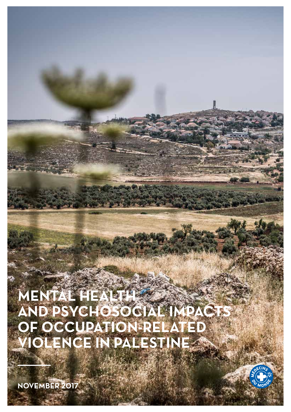# **MENTAL HEALTH AND PSYCHOSOCIAL IMPACTS OF OCCUPATION-RELATED VIOLENCE IN PALESTINE**

**NOVEMBER 2017**

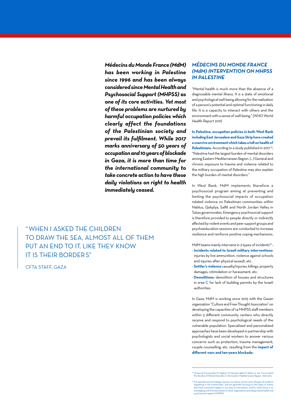*Médecins du Monde France (MdM) has been working in Palestine since 1996 and has been always considered since Mental Health and Psychosocial Support (MHPSS) as one of its core activities. Yet most of these problems are nurtured by harmful occupation policies which clearly affect the foundations of the Palestinian society and prevail its fulfilment. While 2017 marks anniversary of 50 years of occupation and 10 years of blockade in Gaza, it is more than time for the international community to take concrete action to have these daily violations on right to health immediately ceased.* 

"WHEN I ASKED THE CHILDREN TO DRAW THE SEA, ALMOST ALL OF THEM PUT AN END TO IT. LIKE THEY KNOW IT IS THEIR BORDERS"

CETA STAFE GAZA

## *MÉDECINS DU MONDE FRANCE (MdM) INTERVENTION ON MHPSS IN PALESTINE*

"Mental health is much more than the absence of a diagnosable mental illness. It is a state of emotional and psychological well-being allowing for the realization of a person's potential and optimal functioning in daily life. It is a capacity to interact with others and the environment with a sense of well-being." (WHO World Health Report 2011)

**In Palestine, occupation policies in both West Bank including East Jerusalem and Gaza Strip have created a coercive environment which takes a toll on health of**  Palestinians. According to a study published in 2017<sup>(1)</sup>, "Palestine had the largest burden of mental disorders among Eastern Mediterranean Region. (…) General and chronic exposure to trauma and violence related to the military occupation of Palestine may also explain the high burden of mental disorders."

In West Bank, MdM implements therefore a psychosocial program aiming at preventing and limiting the psychosocial impacts of occupation related violence on Palestinian communities within Nablus, Qalqilya, Salfit and North Jordan Valley in Tubas governorates. Emergency psychosocial support is therefore provided to people directly or indirectly affected by violent events and peer support groups and psychoeducation sessions are conducted to increase resilience and reinforce positive coping mechanisms.

MdM teams mainly intervene in  $\frac{1}{3}$  types of incidents<sup>(2)</sup>:

- **Incidents related to Israeli military interventions:** injuries by live ammunition, violence against schools and injuries after physical assault, etc.
- **Settler's violence** casualty/injuries, killings, property damages, intimidation or harassment, etc.
- **Demolitions:** demolition of houses and structures in area C for lack of building permits by the Israeli authorities

In Gaza, MdM is working since 2015 with the Gazan organization "Culture and Free Thought Association" on developing the capacities of 14 MHPSS staff members within 5 different community centers who directly receive and respond to psychological needs of the vulnerable population. Specialized and personalized approaches have been developed in partnership with psychologists and social workers to answer various concerns such as protection, trauma management, couple counselling, etc. resulting from the **impact of different wars and ten-years blockade.**

<sup>(1)</sup> Charara R, Forouzanfar M, Naghavi M, Moradi-Lakeh M, Afshin A, Vos T, et al. (2017) The Burden of Mental Disorders in the Eastern Mediterranean Region, 1990-2013.

<sup>&</sup>lt;sup>(a)</sup> For operational and strategic reasons, our teams cannot cover all types of incidents<br>happening in the communities, and are generally focusing on the types of events<br>that most commonly happen in our area of intervent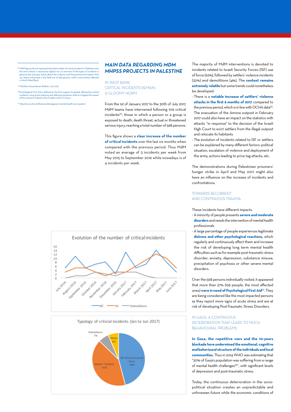<sup>(3)</sup> MdM figures do not represent the total number of critical incidents in Pale the term (which is necessarily higher) nor an overview of the types of incidents in<br>general, but only give inputs about the violence and the psychosocial impacts that<br>our teams witnessed in the field out of 568 persons wit our teams witnesse<br>in North-West Bank

(4) Monthly Humanitarian Bulletin, July 2017

(5) Psychological First Aid is defined as the first support to people affected by critical incidents, using active listening and reflecting emotions skills to mitigate the impact incidents, using active listening and reflecting emotion<br>of the reactions linked to the incident within 72 hours.

www.ho.int/features/2014/gazans-mental-health-services/en/

## *MAIN DATA REGARDING MDM MHPSS PROJECTS IN PALESTINE*

IN WEST BANK, CRITICAL INCIDENTS REMAIN A GLOOMY NORM

From the 1st of January 2017 to the 30th of July 2017, MdM teams have intervened following 109 critical incidents<sup>(3)</sup>, those in which a person or a group is exposed to death, death threat, actual or threatened serious injury, reaching a total number of 568 persons.

This figure shows a **clear increase of the number of critical incidents** over the last six months when compared with the previous period. Thus MdM noted an average of 3 incidents per week from May 2015 to September 2016 while nowadays is of 4 incidents per week.





The majority of MdM interventions is devoted to incidents related to Israeli Security Forces (ISF) use of force (62%), followed by settlers' violence incidents (32%) and demolitions (4%). The **context remains extremely volatile** but some trends could nonetheless be developed:

- There is a **notable increase of settlers' violence attacks in the first 6 months of 2017** compared to the previous period, which is in line with OCHA data<sup>(4)</sup>. The evacuation of the Amona outpost in February 2017 could also have an impact on the statistics with attacks "in response" to the decision of the Israeli High Court to evict settlers from the illegal outpost and relocate its habitants
- The evolution of incidents related to ISF or settlers can be explained by many different factors: political situation, escalation of violence and deployment of the army, actions leading to price tag attacks, etc.

The demonstrations during Palestinian prisoners' hunger strike in April and May 2017 might also have an influence on the increase of incidents and confrontations.

#### TOWARDS RECURRENT AND CONTINUOUS TRAUMA

These incidents have different impacts:

- A minority of people presents **severe and moderate disorders** and needs the intervention of mental health professionals
- A large percentage of people experiences legitimate **distress and other psychological reactions,** which regularly and continuously affect them and increase the risk of developing long term mental health difficulties such as for example post-traumatic stress disorder, anxiety, depression, substance misuse, precipitation of psychosis or other severe mental disorders.

Over the 568 persons individually visited, it appeared that more than 27% (156 people, the most affected ones) **were in need of Psychological First Aid**(5). They are being considered like the most impacted persons as they report more signs of acute stress and are at risk of developing Post-Traumatic Stress Disorders.

#### IN GAZA, A CONTINUOUS DETERIORATION THAT LEADS TO MUCH BEHAVIOURAL PROBLEMS

**In Gaza, the repetitive wars and the 10-years blockade have undermined the emotional, cognitive and behavioural structure of the individuals and local communities.** Thus in 2014 WHO was estimating that "20% of Gaza's population was suffering from a range of mental health challenges<sup>(6)"</sup>, with significant levels of depression and post-traumatic stress.

Today, the continuous deterioration in the sociopolitical situation creates an unpredictable and unforeseen future while the economic conditions of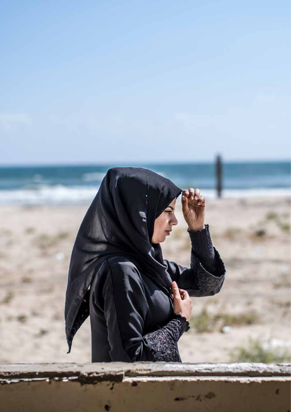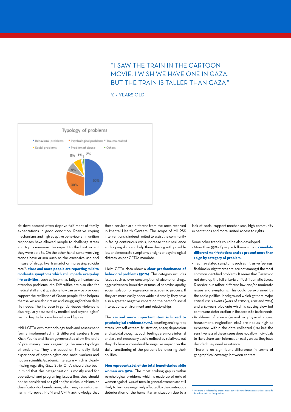## "I SAW THE TRAIN IN THE CARTOON MOVIE. I WISH WE HAVE ONE IN GAZA. BUT THE TRAIN IS TALLER THAN GAZA"

Y. 7 YEARS OLD



de-development often deprive fulfilment of family expectations in good condition. Positive coping mechanisms and high adaptive behaviour ammunition responses have allowed people to challenge stress and try to minimize the impact to the best extent they were able to. On the other hand, some worrying trends have arisen such as the excessive use and misuse of drugs like Tramadol or increasing suicide rate(7). **More and more people are reporting mild to moderate symptoms which still impede every-day life activities,** such as insomnia, fatigue, headaches, attention problems, etc. Difficulties are also dire for medical staff and it questions how can service providers support the resilience of Gazan people if the helpers themselves are also victims and struggling for their daily life needs. The increase in gender-based violence is also regularly assessed by medical and psychologists' teams despite lack evidence-based figures.

MdM-CFTA own methodology tools and assessment forms implemented in 3 different centers from Khan Younis and Rafah governorates allow the draft of preliminary trends regarding the main typology of problems. They are based on the daily field experience of psychologists and social workers and not on scientific/academic literature which is clearly missing regarding Gaza Strip. One's should also bear in mind that this categorization is mostly used for operational and programing issues; thus they should not be considered as rigid and/or clinical divisions or classification for beneficiaries, which may cause further harm. Moreover, MdM and CFTA acknowledge that

these services are different from the ones received in Mental Health Centers. The scope of MHPSS interventions is indeed limited to assist the community in facing continuous crisis, increase their resilience and coping skills and help them dealing with possible low and moderate symptoms or signs of psychological distress, as per CFTA's mandate.

MdM-CFTA data show a **clear predominance of behavioral problems (50%)**. This category includes issues such as over consumption of alcohol or drugs, aggressiveness, impulsive or unusual behavior, apathy, social isolation or regression in academic process. If they are more easily observable externally, they have also a greater negative impact on the person's social interactions, environment and relationships.

The **second more important item is linked to psychological problems (30%)**, counting anxiety, fear, stress, low self-esteem, frustration, anger, depression and suicidal thoughts. Such feelings are more internal and are not necessary easily noticed by relatives, but they do have a considerable negative impact on the daily functioning of the persons by lowering their abilities.

#### **Men represent 42% of the total beneficiaries while**

**women are 58%.** The most striking gap is within psychological problems which is made up of 66% of women against 34% of men. In general, women are still likely to be more negatively affected by the continuous deterioration of the humanitarian situation due to a

lack of social support mechanisms, high community expectations and more limited access to rights.

Some other trends could be also developed:

- More than 33% of people followed-up do **cumulate different manifestations and do present more than 1 sign by category of problem.**
- Trauma-related symptoms such as intrusive feelings, flashbacks, nightmares etc, are not amongst the most common identified problems. It seems that Gazans do not develop the full criteria of Post-Traumatic Stress Disorder but rather different low and/or moderate issues and symptoms. This could be explained by the socio-political background which gathers major critical crisis events (wars of 2008-9, 2012 and 2014) and a 10-years blockade which is causing slow but continuous deterioration in the access to basic needs.
- Problems of abuse (sexual or physical abuse, harassment, neglection etc.) are not as high as expected within the data collected (1%) but the sensitiveness of these issues does not allow individuals to likely share such information easily unless they have decided they need assistance.
- There is no significant difference in terms of geographical coverage between centers.

 $\sigma$  This trend is reflected by press articles but to be noted that no research or scientific data does exist on the question.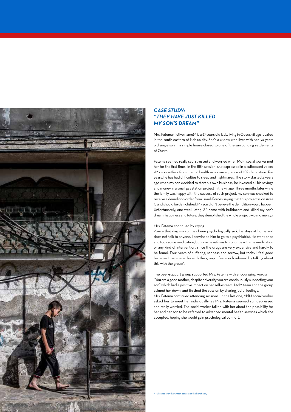

## *CASE STUDY: "THEY HAVE JUST KILLED MY SON'S DREAM"*

Mrs. Fatema (fictive name)<sup>(8)</sup> is a 67 years old lady, living in Qusra, village located in the south eastern of Nablus city. She's a widow who lives with her 30 years old single son in a simple house closed to one of the surrounding settlements of Qusra.

Fatema seemed really sad, stressed and worried when MdM social worker met her for the first time. In the fifth session, she expressed in a suffocated voice: «My son suffers from mental health as a consequence of ISF demolition. For years, he has had difficulties to sleep and nightmares. The story started 4 years ago when my son decided to start his own business; he invested all his savings and money in a small gas station project in the village. Three months later while the family was happy with the success of such project, my son was shocked to receive a demolition order from Israeli Forces saying that this project is on Area C and should be demolished. My son didn't believe the demolition would happen. Unfortunately, one week later, ISF came with bulldozers and killed my son's dream, happiness and future, they demolished the whole project with no mercy.»

#### Mrs. Fatema continued by crying:

«Since that day, my son has been psychologically sick, he stays at home and does not talk to anyone. I convinced him to go to a psychiatrist. He went once and took some medication, but now he refuses to continue with the medication or any kind of intervention, since the drugs are very expensive and hardly to be found. Four years of suffering, sadness and sorrow, but today I feel good because I can share this with the group, I feel much relieved by talking about this with the group".

### The peer-support group supported Mrs. Fatema with encouraging words:

"You are a good mother; despite adversity you are continuously supporting your son" which had a positive impact on her self-esteem. MdM team and the group calmed her down, and finished the session by sharing joyful feelings. Mrs. Fatema continued attending sessions. In the last one, MdM social worker asked her to meet her individually; as Mrs. Fatema seemed still depressed and really worried. The social worker talked with her about the possibility for her and her son to be referred to advanced mental health services which she accepted, hoping she would gain psychological comfort.

(8) Published with the written consent of the beneficiary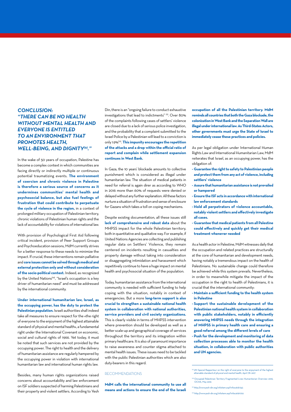## *CONCLUSION: "THERE CAN BE NO HEALTH WITHOUT MENTAL HEALTH AND EVERYONE IS ENTITLED TO AN ENVIRONMENT THAT PROMOTES HEALTH, WELL-BEING, AND DIGNITY(9)."*

In the wake of 50 years of occupation, Palestine has become a complex context in which communities are facing directly or indirectly multiple or continuous potential traumatizing events. **The environment of coercion and chronic violence in Palestine is therefore a serious source of concerns as it undermines communities' mental health and psychosocial balance, but also fuel feelings of frustration that could contribute to perpetuate the cycle of violence in the region,** in a context of prolonged military occupation of Palestinian territory, chronic violations of Palestinian human rights and the lack of accountability for violations of international law.

With provision of Psychological First Aid following critical incident, provision of Peer Support Groups and Psychoeducation sessions, MdM currently strives for a better response to these needs to minimize the impact. If crucial, these interventions remain palliative and **core issues cannot be solved through medical and external protection only and without consideration of the socio-political context.** Indeed, as recognized by the United Nations<sup>(10)</sup>, "Israel's occupation is a key driver of humanitarian need" and must be addressed by the international community.

**Under international humanitarian law, Israel, as the occupying power, has the duty to protect the Palestinian population.** Israeli authorities shall indeed take all measures to ensure respect for the «the right of everyone to the enjoyment of the highest attainable standard of physical and mental health», a fundamental right under the International Covenant on economic, social and cultural rights of 1966. Yet today, it must be noted that such services are not provided by the occupying power. The right to health and the delivery of humanitarian assistance are regularly hampered by the occupying power in violation with international humanitarian law and international human rights law.

Besides, many human rights organizations raised concerns about accountability and law enforcement on ISF soldiers suspected of harming Palestinians and their property and violent settlers. According to Yesh Din, there is an "ongoing failure to conduct exhaustive investigations that lead to indictments" (11). Over 80% of the complaints following cases of settlers' violence are closed due to a lack of serious police investigation, and the probability that a complaint submitted to the Israel Police by a Palestinian will lead to a conviction is only 1.9%(12). **This impunity encourages the repetition of the attacks and a drop within the official ratio of report and complain while settlement expansion continues in West Bank.** 

In Gaza, the 10 years' blockade amounts to collective punishment which is considered as illegal under humanitarian law. The situation of medical patients in need for referral is again direr as according to WHO in 2016 more than 60% of requests were denied or delayed without any further explanation. All these factors nurture a situation of frustration and sense of enclosure for Gazans which takes a toll on coping mechanisms.

Despite existing documentation, all these issues still **lack of comprehensive and robust data** about the MHPSS impact for the whole Palestinian territory, both in quantitative and qualitative way. For example, if United Nations Agencies are collecting and publishing regular data on Settlers' Violence, they remain centered on incidents resulting in casualties and property damage without taking into consideration or disaggregating intimidation and harassment which repetitively continue to have a huge impact on mental health and psychosocial situation of the population.

Today, humanitarian assistance from the international community is needed with sufficient funding to help coping with the situation, notably in context of emergencies. But a more **long-term support is also crucial to strengthen a sustainable national health system in collaboration with national authorities, service providers and civil society organizations.**  This is clearly visible in terms of MHPSS intervention where prevention should be developed as well as a better scale-up and geographical coverage of services throughout the territory and its integration within primary healthcare. It is also of paramount importance to raise awareness and counter stigma attached to mental health issues. These issues need to be tackled with the public Palestinian authorities which are also duty-bearers in this regard.

#### RECOMMENDATIONS

**MdM calls the international community to use all means and actions to ensure the end of the Israeli**  **occupation of all the Palestinian territory. MdM reminds all countries that both the Gaza blockade, the colonization in West Bank and the Separation Wall are illegal under international law. As Third-States Actors, other governments must urge the State of Israel to immediately cease these practices and policies.** 

As per legal obligation under International Human Rights Law and International Humanitarian Law, MdM reiterates that Israel, as an occupying power, has the obligation of:

- **Guarantee the right to safety to Palestinian people and protect them from any act of violence, including settlers' violence**
- **Assure that humanitarian assistance is not prevailed or hampered**
- **Ensure the ISF acts in accordance with international law enforcement standards**
- **Hold all perpetrators of violence accountable, notably violent settlers and effectively investigate all cases.**
- **Guarantee that medical patients from all Palestine could effectively and quickly get their medical treatment whenever needed**

As a health actor in Palestine, MdM witnesses daily that the occupation and related practices are structurally at the core of humanitarian and development needs, having notably a tremendous impact on the health of Palestinians. No sustainable change could therefore be achieved while this system prevails. Nevertheless, in order to meanwhile mitigate the impact of the occupation in the right to health of Palestinians, it is crucial that the international community:

- **Maintain a sufficient funding to the health system in Palestine**
- **Support the sustainable development of the Palestinian national health system in collaboration with public stakeholders, notably in efficiently answering MHPSS needs through the integration of MHPSS in primary health care and ensuring a good referral among the different levels of care**
- **Push for the development and monitoring of data collection processes able to monitor the health situation, in collaboration with public authorities and UN agencies.**

<sup>(9)</sup> UN Special Rapporteur on the right of everyone to the enjoyment of the highest attainable standard of physical and mental health, April 7th 2017

<sup>(10)</sup> Occupied Palestinian Territory Fragmented Lives Humanitarian Overview 2016, OCHA, May 2016

<sup>(11)</sup> http://www.yesh-din.org/infoitem.asp?infocatid=743

<sup>(12)</sup> http://www.yesh-din.org/infoitem.asp?infocatid=702